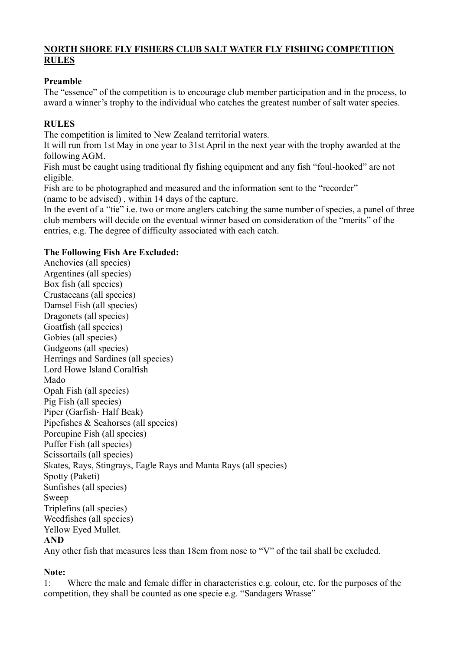# **NORTH SHORE FLY FISHERS CLUB SALT WATER FLY FISHING COMPETITION RULES**

## **Preamble**

The "essence" of the competition is to encourage club member participation and in the process, to award a winner's trophy to the individual who catches the greatest number of salt water species.

## **RULES**

The competition is limited to New Zealand territorial waters.

It will run from 1st May in one year to 31st April in the next year with the trophy awarded at the following AGM.

Fish must be caught using traditional fly fishing equipment and any fish "foul-hooked" are not eligible.

Fish are to be photographed and measured and the information sent to the "recorder" (name to be advised) , within 14 days of the capture.

In the event of a "tie" i.e. two or more anglers catching the same number of species, a panel of three club members will decide on the eventual winner based on consideration of the "merits" of the entries, e.g. The degree of difficulty associated with each catch.

## **The Following Fish Are Excluded:**

Anchovies (all species) Argentines (all species) Box fish (all species) Crustaceans (all species) Damsel Fish (all species) Dragonets (all species) Goatfish (all species) Gobies (all species) Gudgeons (all species) Herrings and Sardines (all species) Lord Howe Island Coralfish Mado Opah Fish (all species) Pig Fish (all species) Piper (Garfish- Half Beak) Pipefishes & Seahorses (all species) Porcupine Fish (all species) Puffer Fish (all species) Scissortails (all species) Skates, Rays, Stingrays, Eagle Rays and Manta Rays (all species) Spotty (Paketi) Sunfishes (all species) Sweep Triplefins (all species) Weedfishes (all species) Yellow Eyed Mullet. **AND** Any other fish that measures less than 18cm from nose to "V" of the tail shall be excluded.

#### **Note:**

1: Where the male and female differ in characteristics e.g. colour, etc. for the purposes of the competition, they shall be counted as one specie e.g. "Sandagers Wrasse"